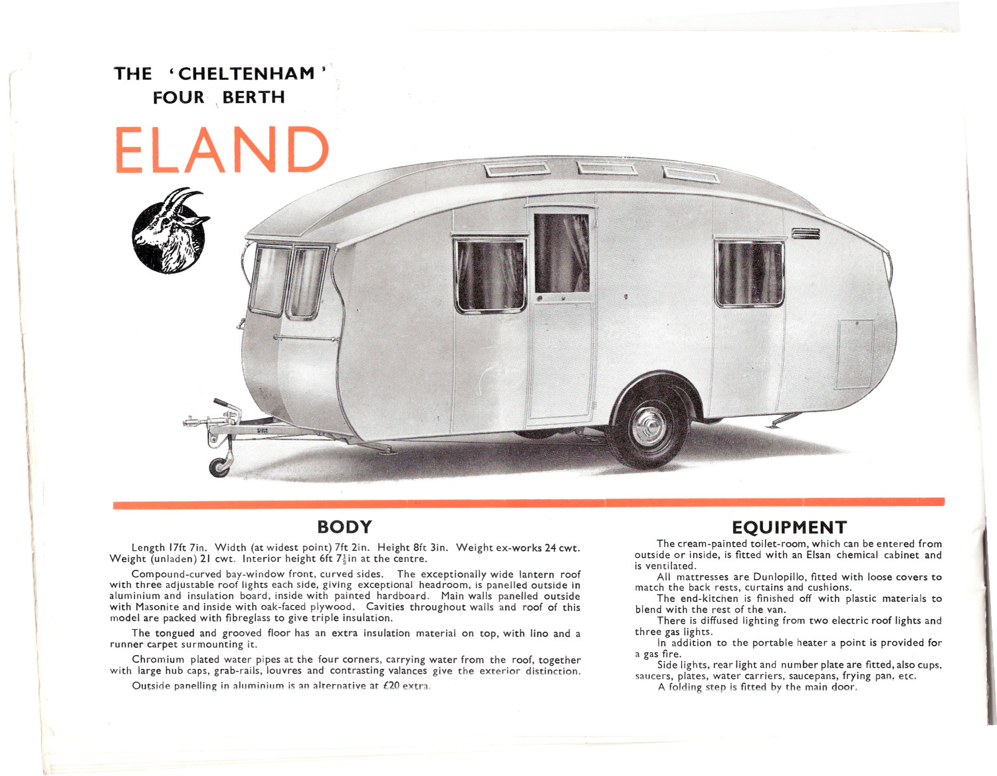**THE ' CHELTENHAM" FOUR** \ **BERTH**



## **BODY**

Length 17ft 7in, Width (at widest point) 7ft 2in. Height 8ft 3in. Weight ex-works 24 cwt. Weight (unladen) 21 cwt. Interior height 6ft  $7\frac{1}{6}$  in at the centre.

Compound-curved bay-window front, curved sides. The exceptionally wide lantern roof with three adjustable roof lights each side, giving exceptional headroom, is panelled outside in aluminium and insulation board, inside with painted hardboard. Main walls panelled outside with Masonite and inside with oak-faced plywood. Cavities throughout walls and roof of this model are packed with fibreglass to give triple insulation.

The tongued and grooved floor has an extra insulation material on top, with Iino and a runner carpet surmounting it.

Chromium plated water pipes at the four corners, carrying water from the roof, together with large hub caps, grab-rails, louvres and contrasting valances give the exterior distinction.

Outside panelling in aluminium is an alternative at  $£20$  extra.

## **EQUIPMENT**

The cream-painted toilet-room, which can be entered from outside or inside, is fitted with an Elsan chemical cabinet and is ventilated.

All mattresses are Dunlopillo, fitted with loose covers to match the back rests, curtains and cushions.

The end-kitchen is finished off with plastic materials to blend with the rest of the van.

There is diffused lighting from two electric roof lights and three gas lights,

In addition to the portable heater a point is provided for a gas fire.

Side lights, rear light and number plate are fitted, also cups. saucers, plates, water carriers, saucepans, frying pan. etc.

A folding step is fitted by the main door.